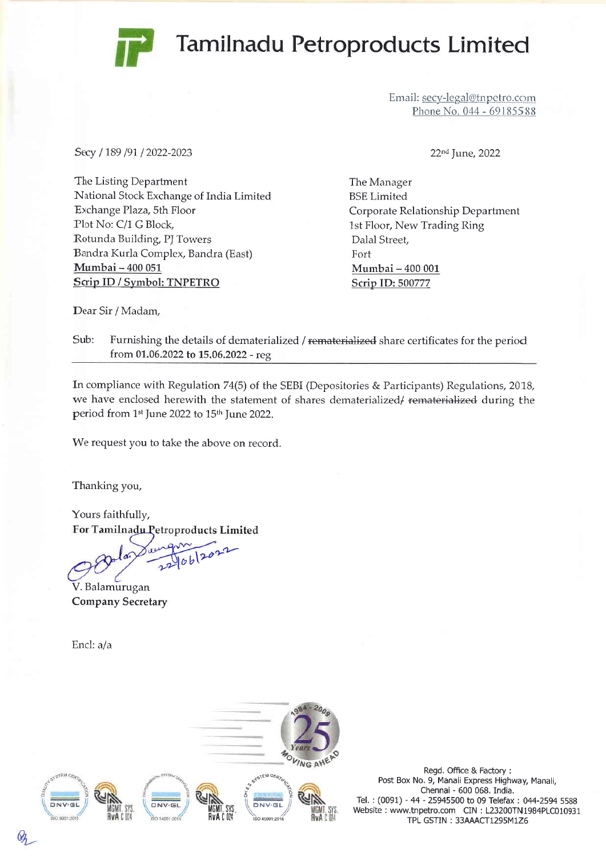## Tamilnadu Petroproducts Limited



Email: secy-legal@tnpetro.com Phone No. 044 - 69185588

Secy / 189 /91 / 2022-2023

The Listing Department National Stock Exchange of India Limitec Exchange Plaza, 5th Floor Plot No: C/1 G Block, Rotunda Building, PJ Towers Bandra Kurla Complex, Bandra (East) Mumbai - 400 051 Scrip ID / Symbol: TNPETRO

22<sup>nd</sup> June, 2022

The Manager BSE Limited Corporate Relationship Department 1st Floor, New Trading Ring Dalal Street, Fort Mumbai - 400 <sup>001</sup> Scrip ID: 500777

Dear Sir / Madam,

Sub: Furnishing the details of dematerialized / rematerialized share certificates for the period from 01.06.2022 to 15.06.2022 - reg

In compliance with Regulation 74(5) of the SEBI (Depositories & Participants) Regulations, 2018, we have enclosed herewith the statement of shares dematerialized/ rematerialized during the period from 1st June 2022 to 15th June 2022.

We request you to take the above on record.

Thanking you,

Yours faithfully, For Tamilnadu Petroproducts Limited

 $90b^{202}$ 

V. Balamurugan Company Secretary

Encl: a/a



Regd. Office & Factory : Post Box No. 9, Manali Express Highway, Manali, Chennai - 600 068. India. Tel. : (0091) - 44 - 25945500 to 09 Telefax : 044-2594 55BB Website : www.tnpetro.com CIN : L23200TN1984PLC010931 TPL GSTIN: 33AAACT1295M1Z6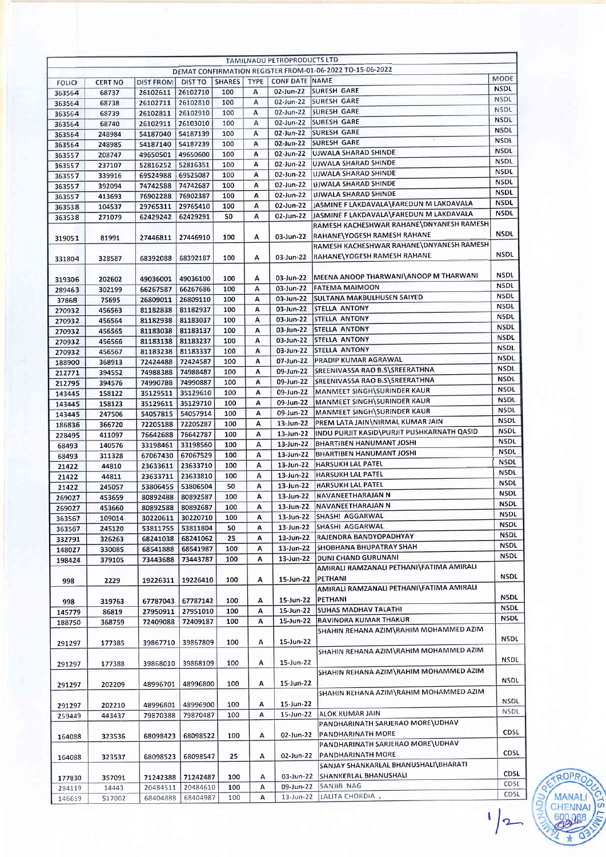| TAMILNADU PETROPRODUCTS LTD<br>DEMAT CONFIRMATION REGISTER FROM-01-06-2022 TO-15-06-2022 |                  |                      |                      |            |                |                                |                                                                                     |                            |
|------------------------------------------------------------------------------------------|------------------|----------------------|----------------------|------------|----------------|--------------------------------|-------------------------------------------------------------------------------------|----------------------------|
|                                                                                          |                  |                      |                      |            |                |                                |                                                                                     | <b>MODE</b>                |
| <b>FOLIO</b>                                                                             | <b>CERT NO</b>   | <b>DIST FROM</b>     | <b>DIST TO</b>       |            |                | SHARES   TYPE   CONF DATE NAME |                                                                                     | <b>NSDL</b>                |
| 363564                                                                                   | 68737            | 26102611             | 26102710             | 100        | А              |                                | 02-Jun-22 SURESH GARE<br>02-Jun-22 SURESH GARE                                      | <b>NSDL</b>                |
| 363564                                                                                   | 68738            | 26102711             | 26102810<br>26102910 | 100<br>100 | А<br>А         |                                | 02-Jun-22 SURESH GARE                                                               | <b>NSDL</b>                |
| 363564<br>363564                                                                         | 68739<br>68740   | 26102811<br>26102911 | 26103010             | 100        | А              |                                | 02-Jun-22 SURESH GARE                                                               | <b>NSDL</b>                |
| 363564                                                                                   | 248984           | 54187040             | 54187139             | 100        | Α              |                                | 02-Jun-22 SURESH GARE                                                               | <b>NSDL</b>                |
| 363564                                                                                   | 248985           | 54187140             | 54187239             | 100        | А              | 02-Jun-22                      | <b>SURESH GARE</b>                                                                  | <b>NSDL</b>                |
| 363557                                                                                   | 208747           | 49650501             | 49650600             | 100        | A              | 02-Jun-22                      | UJWALA SHARAD SHINDE                                                                | <b>NSDL</b>                |
| 363557                                                                                   | 237107           | 52816252             | 52816351             | 100        | Α              | 02-Jun-22                      | <b>UJWALA SHARAD SHINDE</b>                                                         | <b>NSDL</b>                |
| 363557                                                                                   | 339916           | 69524988             | 69525087             | 100        | А              | 02-Jun-22                      | <b>JUJWALA SHARAD SHINDE</b>                                                        | <b>NSDL</b>                |
| 363557                                                                                   | 392094           | 74742588             | 74742687             | 100        | A              |                                | 02-Jun-22 UJWALA SHARAD SHINDE                                                      | <b>NSDL</b>                |
| 363557                                                                                   | 413693           | 76902288             | 76902387             | 100        | Α              | 02-Jun-22                      | <b>UJWALA SHARAD SHINDE</b>                                                         | <b>NSDL</b>                |
| 363538                                                                                   | 104537           | 29765311             | 29765410             | 100        | $\overline{A}$ | 02-Jun-22                      | JASMINE F LAKDAVALA\FAREDUN M LAKDAVALA                                             | <b>NSDL</b><br><b>NSDL</b> |
| 363538                                                                                   | 271079           | 62429242             | 62429291             | 50         | Α              | 02-Jun-22                      | JASMINE F LAKDAVALA\FAREDUN M LAKDAVALA<br>RAMESH KACHESHWAR RAHANE\DNYANESH RAMESH |                            |
|                                                                                          |                  |                      |                      |            |                |                                |                                                                                     | <b>NSDL</b>                |
| 319051                                                                                   | 81991            | 27446811             | 27446910             | 100        | A              | 03-Jun-22                      | RAHANE\YOGESH RAMESH RAHANE<br>RAMESH KACHESHWAR RAHANE\DNYANESH RAMESH             |                            |
|                                                                                          |                  |                      |                      |            |                |                                | RAHANE\YOGESH RAMESH RAHANE                                                         | <b>NSDL</b>                |
| 331804                                                                                   | 328587           | 68392088             | 68392187             | 100        | А              | 03-Jun-22                      |                                                                                     |                            |
|                                                                                          |                  |                      |                      |            |                |                                | MEENA ANOOP THARWANI\ANOOP M THARWANI                                               | <b>NSDL</b>                |
| 319306                                                                                   | 202602           | 49036001             | 49036100             | 100        | Α              | 03-Jun-22<br>03-Jun-22         | FATEMA MAIMOON                                                                      | <b>NSDL</b>                |
| 289463                                                                                   | 302199           | 66267587             | 66267686             | 100        | Α<br>A         | 03-Jun-22                      | <b>SULTANA MAKBULHUSEN SAIYED</b>                                                   | <b>NSDL</b>                |
| 37868                                                                                    | 75695            | 26809011             | 26809110             | 100<br>100 | А              | 03-Jun-22                      | <b>STELLA ANTONY</b>                                                                | <b>NSDL</b>                |
| 270932                                                                                   | 456563           | 81182838             | 81182937             |            | А              | 03-Jun-22                      | <b>STELLA ANTONY</b>                                                                | <b>NSDL</b>                |
| 270932                                                                                   | 456564           | 81182938             | 81183037             | 100<br>100 | А              | 03-Jun-22                      | STELLA ANTONY                                                                       | <b>NSDL</b>                |
| 270932                                                                                   | 456565           | 81183038             | 81183137             |            |                | 03-Jun-22                      | STELLA ANTONY                                                                       | <b>NSDL</b>                |
| 270932                                                                                   | 456566           | 81183138             | 81183237             | 100        | Α<br>А         | 03-Jun-22                      | <b>STELLA ANTONY</b>                                                                | <b>NSDL</b>                |
| 270932                                                                                   | 456567           | 81183238             | 81183337             | 100        |                | 07-Jun-22                      | <b>PRADIP KUMAR AGRAWAL</b>                                                         | <b>NSDL</b>                |
| 188900                                                                                   | 368913           | 72424488             | 72424587             | 100        | A<br>А         | 09-Jun-22                      | SREENIVASSA RAO B.S\SREERATHNA                                                      | <b>NSDL</b>                |
| 212771                                                                                   | 394552           | 74988388             | 74988487             | 100        | А              |                                | 09-Jun-22 SREENIVASSA RAO B.S\SREERATHNA                                            | <b>NSDL</b>                |
| 212795                                                                                   | 394576           | 74990788             | 74990887             | 100<br>100 | А              | 09-Jun-22                      | MANMEET SINGH\SURINDER KAUR                                                         | <b>NSDL</b>                |
| 143445                                                                                   | 158122           | 35129511             | 35129610<br>35129710 | 100        | А              | 09-Jun-22                      | MANMEET SINGH\SURINDER KAUR                                                         | <b>NSDL</b>                |
| 143445                                                                                   | 158123           | 35129611<br>54057815 | 54057914             | 100        | А              | 09-Jun-22                      | MANMEET SINGH\SURINDER KAUR                                                         | <b>NSDL</b>                |
| 143445                                                                                   | 247506           | 72205188             | 72205287             | 100        | Α              |                                | 13-Jun-22 PREM LATA JAIN\NIRMAL KUMAR JAIN                                          | <b>NSDL</b>                |
| 186836                                                                                   | 366720<br>411097 | 76642688             | 76642787             | 100        | Α              | 13-Jun-22                      | INDU PURJIT KASID\PURJIT PUSHKARNATH QASID                                          | <b>NSDL</b>                |
| 228495                                                                                   | 140576           | 33198461             | 33198560             | 100        | А              | 13-Jun-22                      | <b>BHARTIBEN HANUMANT JOSHI</b>                                                     | <b>NSDL</b>                |
| 68493<br>68493                                                                           | 311328           | 67067430             | 67067529             | 100        | А              |                                | 13-Jun-22  BHARTIBEN HANUMANT JOSHI                                                 | <b>NSDL</b>                |
| 21422                                                                                    | 44810            | 23633611             | 23633710             | 100        | А              | 13-Jun-22                      | <b>HARSUKH LAL PATEL</b>                                                            | <b>NSDL</b>                |
| 21422                                                                                    | 44811            | 23633711             | 23633810             | 100        | А              | 13-Jun-22                      | HARSUKH LAL PATEL                                                                   | <b>NSDL</b>                |
| 21422                                                                                    | 245057           | 53806455             | 53806504             | 50         | А              | 13-Jun-22                      | <b>HARSUKH LAL PATEL</b>                                                            | <b>NSDL</b>                |
| 269027                                                                                   | 453659           | 80892488             | 80892587             | 100        | А              |                                | 13-Jun-22   NAVANEETHARAJAN N                                                       | <b>NSDL</b>                |
| 269027                                                                                   | 453660           |                      | 80892588 80892687    | 100        | A              |                                | 13-Jun-22 NAVANEETHARAJAN N                                                         | <b>NSDL</b>                |
| 363567                                                                                   | 109014           | 30220611             | 30220710             | 100        | А              |                                | 13-Jun-22 SHASHI AGGARWAL                                                           | <b>NSDL</b>                |
| 363567                                                                                   | 245120           | 53811755             | 53811804             | 50         | А              | 13-Jun-22                      | SHASHI AGGARWAL                                                                     | <b>NSDL</b>                |
| 332791                                                                                   | 326263           | 68241038             | 68241062             | 25         | A              | $13$ -Jun-22                   | <b>RAJENDRA BANDYOPADHYAY</b>                                                       | <b>NSDL</b>                |
| 148027                                                                                   | 330085           | 68541888             | 68541987             | 100        | Α              | 13-Jun-22                      | SHOBHANA BHUPATRAY SHAH                                                             | <b>NSDL</b>                |
| 198424                                                                                   | 379105           | 73443688             | 73443787             | 100        | Α              | 13-Jun-22                      | DUNI CHAND GURUNANI                                                                 | <b>NSDL</b>                |
|                                                                                          |                  |                      |                      |            |                |                                | AMIRALI RAMZANALI PETHANI\FATIMA AMIRALI                                            |                            |
| 998                                                                                      | 2229             | 19226311             | 19226410             | 100        | А              | 15-Jun-22                      | PETHANI                                                                             | <b>NSDL</b>                |
|                                                                                          |                  |                      |                      |            |                |                                | AMIRALI RAMZANALI PETHANI\FATIMA AMIRALI                                            |                            |
| 998                                                                                      | 319763           | 67787043             | 67787142             | 100        | A              | 15-Jun-22                      | PETHANI                                                                             | <b>NSDL</b>                |
| 145779                                                                                   | 86819            | 27950911             | 27951010             | 100        | Α              | 15-Jun-22                      | <b>SUHAS MADHAV TALATHI</b>                                                         | <b>NSDL</b>                |
| 188750                                                                                   | 368759           | 72409088             | 72409187             | 100        | Α              | 15-Jun-22                      | RAVINDRA KUMAR THAKUR                                                               | <b>NSDL</b>                |
|                                                                                          |                  |                      |                      |            |                |                                | SHAHIN REHANA AZIM\RAHIM MOHAMMED AZIM                                              |                            |
| 291297                                                                                   | 177385           | 39867710             | 39867809             | 100        | А              | 15-Jun-22                      |                                                                                     | NSDL                       |
|                                                                                          |                  |                      |                      |            |                |                                | SHAHIN REHANA AZIM\RAHIM MOHAMMED AZIM                                              |                            |
| 291297                                                                                   | 177388           | 39868010             | 39868109             | 100        | А              | 15-Jun-22                      |                                                                                     | <b>NSDL</b>                |
|                                                                                          |                  |                      |                      |            |                |                                | SHAHIN REHANA AZIM\RAHIM MOHAMMED AZIM                                              |                            |
| 291297                                                                                   | 202209           | 48996701             | 48996800             | 100        | А              | 15-Jun-22                      |                                                                                     | <b>NSDL</b>                |
|                                                                                          |                  |                      |                      |            |                |                                | SHAHIN REHANA AZIM\RAHIM MOHAMMED AZIM                                              |                            |
| 291297                                                                                   | 202210           | 48996801             | 48996900             | 100        | А              | 15-Jun-22                      |                                                                                     | <b>NSDL</b>                |
| 259449                                                                                   | 443437           | 79870388             | 79870487             | 100        | А              | 15-Jun-22                      | ALOK KUMAR JAIN                                                                     | NSDL                       |
|                                                                                          |                  |                      |                      |            |                |                                | PANDHARINATH SARJERAO MORE\UDHAV                                                    |                            |
| 164088                                                                                   | 323536           | 68098423             | 68098522             | 100        | А              | 02-Jun-22                      | PANDHARINATH MORE                                                                   | <b>CDSL</b>                |
|                                                                                          |                  |                      |                      |            |                |                                | PANDHARINATH SARJERAO MORE\UDHAV                                                    |                            |
| 164088                                                                                   | 323537           | 68098523             | 68098547             | 25         | А              | 02-Jun-22                      | PANDHARINATH MORE                                                                   | CDSL                       |
|                                                                                          |                  |                      |                      |            |                |                                | SANJAY SHANKARLAL BHANUSHALI\BHARATI                                                |                            |
| 177830                                                                                   | 357091           | 71242388             | 71242487             | 100        | А              | 03-Jun-22                      | SHANKERLAL BHANUSHALI                                                               | <b>CDSL</b>                |
| 284119                                                                                   | 14443            | 20484511             | 20484610             | 100        | А              | 09-Jun-22                      | SANJIB NAG                                                                          | <b>CDSL</b>                |
| 146659                                                                                   | 517002           | 68404888             | 68404987             | 100        | А              | 13-Jun-22                      | LALITA CHORDIA +                                                                    | CDSL                       |

 $\mathbf{L}$ 

ç

ROPA